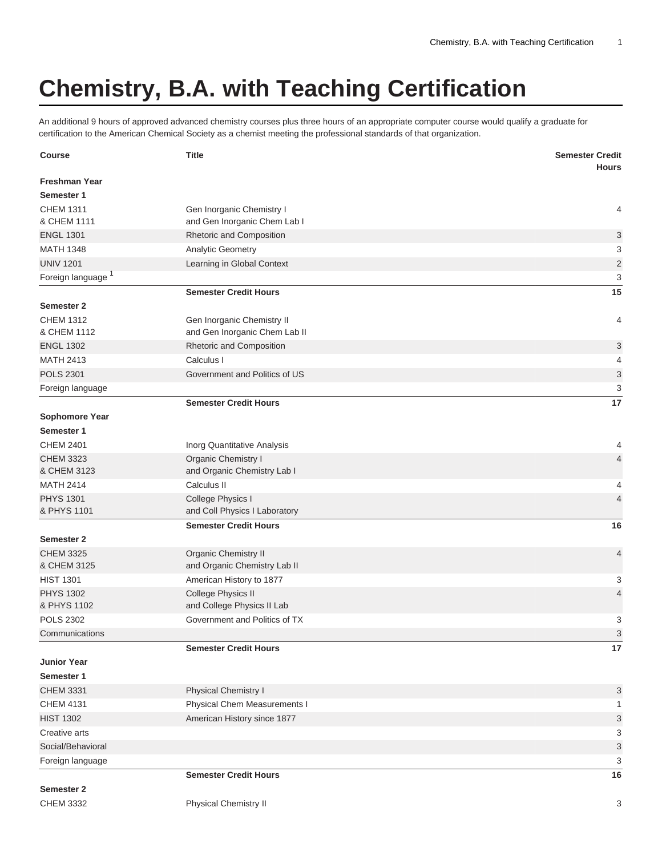## **Chemistry, B.A. with Teaching Certification**

An additional 9 hours of approved advanced chemistry courses plus three hours of an appropriate computer course would qualify a graduate for certification to the American Chemical Society as a chemist meeting the professional standards of that organization.

| <b>Course</b>                   | <b>Title</b>                                     | <b>Semester Credit</b><br><b>Hours</b> |
|---------------------------------|--------------------------------------------------|----------------------------------------|
| <b>Freshman Year</b>            |                                                  |                                        |
| Semester 1                      |                                                  |                                        |
| <b>CHEM 1311</b>                | Gen Inorganic Chemistry I                        | 4                                      |
| & CHEM 1111                     | and Gen Inorganic Chem Lab I                     |                                        |
| <b>ENGL 1301</b>                | Rhetoric and Composition                         | 3                                      |
| <b>MATH 1348</b>                | Analytic Geometry                                | 3                                      |
| <b>UNIV 1201</b>                | Learning in Global Context                       | $\sqrt{2}$                             |
| Foreign language <sup>1</sup>   |                                                  | 3                                      |
|                                 | <b>Semester Credit Hours</b>                     | 15                                     |
| Semester 2                      |                                                  |                                        |
| <b>CHEM 1312</b>                | Gen Inorganic Chemistry II                       | 4                                      |
| & CHEM 1112                     | and Gen Inorganic Chem Lab II                    |                                        |
| <b>ENGL 1302</b>                | Rhetoric and Composition                         | 3                                      |
| <b>MATH 2413</b>                | Calculus I                                       | 4                                      |
| <b>POLS 2301</b>                | Government and Politics of US                    | 3                                      |
| Foreign language                |                                                  | 3                                      |
|                                 | <b>Semester Credit Hours</b>                     | 17                                     |
| Sophomore Year                  |                                                  |                                        |
| Semester 1                      |                                                  |                                        |
| <b>CHEM 2401</b>                | Inorg Quantitative Analysis                      | 4                                      |
| <b>CHEM 3323</b>                | Organic Chemistry I                              | $\overline{4}$                         |
| & CHEM 3123                     | and Organic Chemistry Lab I                      |                                        |
| <b>MATH 2414</b>                | Calculus II                                      | 4                                      |
| <b>PHYS 1301</b>                | College Physics I                                | $\overline{4}$                         |
| & PHYS 1101                     | and Coll Physics I Laboratory                    |                                        |
|                                 | <b>Semester Credit Hours</b>                     | 16                                     |
| Semester 2                      |                                                  |                                        |
| <b>CHEM 3325</b>                | <b>Organic Chemistry II</b>                      | 4                                      |
| & CHEM 3125                     | and Organic Chemistry Lab II                     |                                        |
| <b>HIST 1301</b>                | American History to 1877                         | 3<br>$\overline{4}$                    |
| <b>PHYS 1302</b><br>& PHYS 1102 | College Physics II<br>and College Physics II Lab |                                        |
| <b>POLS 2302</b>                | Government and Politics of TX                    | 3                                      |
| Communications                  |                                                  | 3                                      |
|                                 | <b>Semester Credit Hours</b>                     | 17                                     |
| <b>Junior Year</b>              |                                                  |                                        |
| Semester 1                      |                                                  |                                        |
| <b>CHEM 3331</b>                | Physical Chemistry I                             | 3                                      |
| <b>CHEM 4131</b>                | Physical Chem Measurements I                     | 1                                      |
| <b>HIST 1302</b>                | American History since 1877                      | $\ensuremath{\mathsf{3}}$              |
| Creative arts                   |                                                  | 3                                      |
| Social/Behavioral               |                                                  | $\ensuremath{\mathsf{3}}$              |
| Foreign language                |                                                  | 3                                      |
|                                 | <b>Semester Credit Hours</b>                     | 16                                     |
| <b>Semester 2</b>               |                                                  |                                        |
| <b>CHEM 3332</b>                | Physical Chemistry II                            | 3                                      |
|                                 |                                                  |                                        |